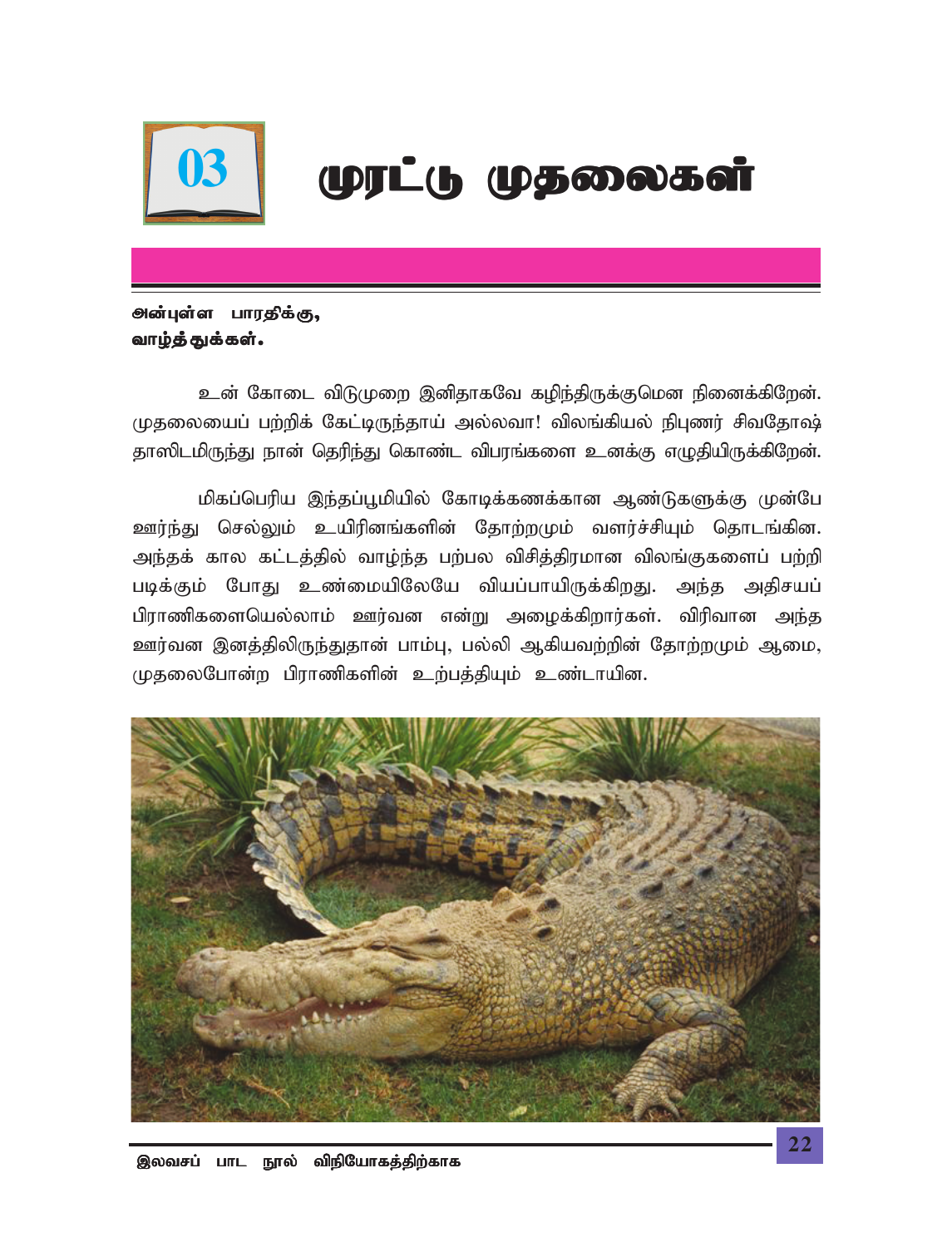

# 03 | முரட்டு முதலைகள்

### *ூன்*புள்ள பாரதிக்கு, வாழ்த்துக்கள்.

உன் கோடை விடுமுறை இனிதாகவே கழிந்திருக்குமென நினைக்கிறேன். முதலையைப் பற்றிக் கேட்டிருந்தாய் அல்லவா! விலங்கியல் நிபுணர் சிவதோஷ்; தாஸிடமிருந்து நான் தெரிந்து கொண்ட விபரங்களை உனக்கு எழுதியிருக்கிறேன்.

மிகப்பெரிய இந்தப்பூமியில் கோடிக்கணக்கான ஆண்டுகளுக்கு முன்பே <u>ஊர்ந்து</u> செல்லும் உயிரினங்களின் தோற்றமும் வளர்ச்சியும் தொடங்கின. அந்தக் கால கட்டத்தில் வாழ்ந்த பற்பல விசித்திரமான விலங்குகளைப் பற்றி படிக்கும் போது உண்மையிலேயே வியப்பாயிருக்கிறது. அந்த அதிசயப் பிராணிகளையெல்லாம் ஊர்வன என்று அழைக்கிறார்கள். விரிவான அந்த <u>ஊர்</u>வன இனத்திலிருந்துதான் பாம்பு, பல்லி ஆகியவற்றின் தோற்றமும் ஆமை, *KjiyNghd;w gpuhzpfspd; cw;gj;jpAk; cz;lhapd.*

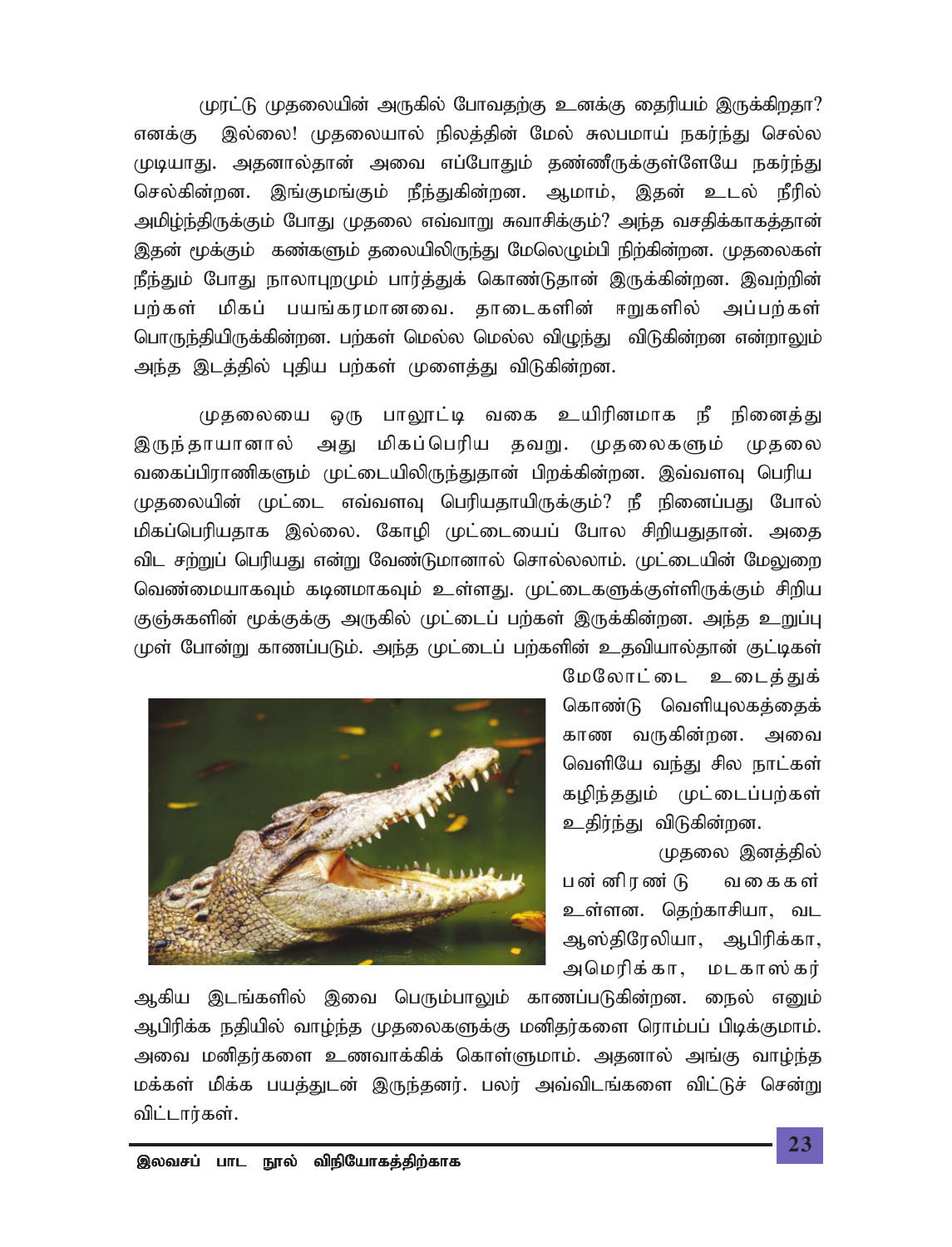முரட்டு முதலையின் அருகில் போவதற்கு உனக்கு தைரியம் இருக்கிறதா? எனக்கு இல்லை! முதலையால் நிலத்தின் மேல் சுலபமாய் நகர்ந்து செல்ல *KbahJ. mjdhy;jhd; mit vg;NghJk; jz;zPUf;Fs;NsNa efu;e;J* செல்கின்றன. இங்குமங்கும் நீந்துகின்றன. ஆமாம், இதன் உடல் நீரில் அமிழ்ந்திருக்கும் போது முதலை எவ்வாறு சுவாசிக்கும்? அந்த வசதிக்காகத்தான் இதன் மூக்கும் கண்களும் தலையிலிருந்து மேலெழும்பி நிற்கின்றன. முதலைகள் நீந்தும் போது நாலாபுறமும் பார்த்துக் கொண்டுதான் இருக்கின்றன. இவற்றின் பற்கள் மிகப் பயங்கரமானவை. தாடைகளின் ஈறுகளில் அப்பற்கள் *nghUe;jpapUf;fpd;wd. gw;fs; nky;y nky;y tpOe;J tpLfpd;wd vd;whYk;* அந்த இடத்தில் புதிய பற்கள் முளைத்து விடுகின்றன.

முதலையை ஒரு பாலூட்டி வகை உயிரினமாக நீ நினைத்து இருந்தாயானால் அது மிகப்பெரிய தவறு. முதலைகளும் முதலை வகைப்பிராணிகளும் முட்டையிலிருந்துதான் பிறக்கின்றன. இவ்வளவு பெரிய முதலையின் முட்டை எவ்வளவு பெரியதாயிருக்கும்? நீ நினைப்பது போல் மிகப்பெரியதாக இல்லை. கோழி முட்டையைப் போல சிறியதுதான். அதை விட சற்றுப் பெரியது என்று வேண்டுமானால் சொல்லலாம். முட்டையின் மேலுறை வெண்மையாகவும் கடினமாகவும் உள்ளது. முட்டைகளுக்குள்ளிருக்கும் சிறிய குஞ்சுகளின் மூக்குக்கு அருகில் முட்டைப் பற்கள் இருக்கின்றன. அந்த உறுப்பு முள் போன்று காணப்படும். அந்த முட்டைப் பற்களின் உதவியால்தான் குட்டிகள்



மேலோட்டை உடைத்துக் கொண்டு வெளியுலகத்தைக் காண வருகின்றன. அவை வெளியே வந்து சில நாட்கள் கழிந்ததும் முட்டைப்பற்கள் உதிர்ந்து விடுகின்றன.

முதலை இனத்தில் பன் னிரண் டு வகைகள் <u>உ</u>ள்ளன. தெற்காசியா, வட ஆஸ்திரேலியா, ஆபிரிக்கா, அமெரிக்கா, மடகாஸ்கர்

ஆகிய இடங்களில் இவை பெரும்பாலும் காணப்படுகின்றன. நைல் எனும் *Mgpupf;f ejpapy; tho;e;j KjiyfSf;F kdpju;fis nuhk;gg; gpbf;Fkhk;.* அவை மனிதர்களை உணவாக்கிக் கொள்ளுமாம். அதனால் அங்கு வாழ்ந்த மக்கள் மிக்க பயத்துடன் இருந்தனர். பலர் அவ்விடங்களை விட்டுச் சென்று விட்டார்கள்.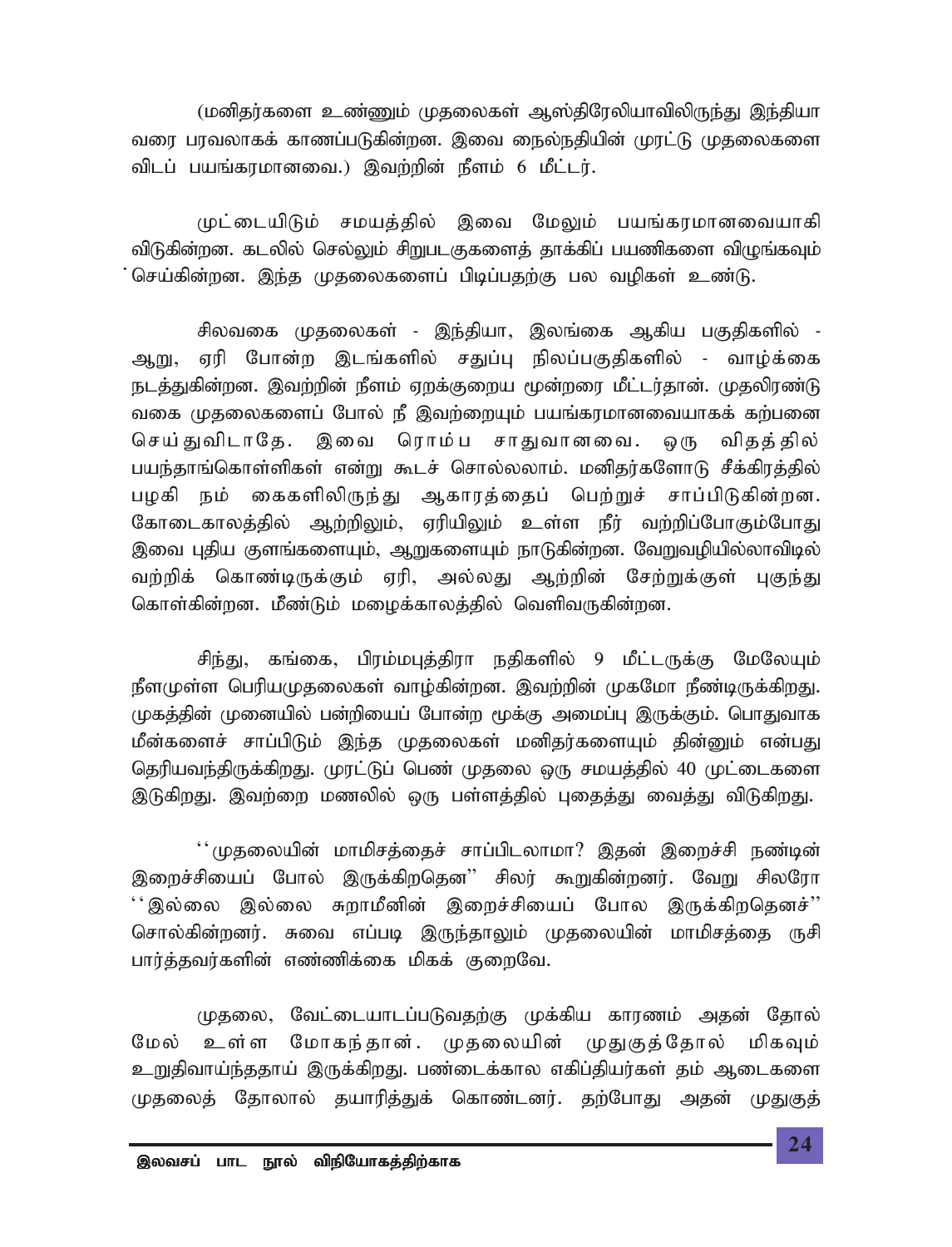(மனிதர்களை உண்ணும் முதலைகள் ஆஸ்திரேலியாவிலிருந்து இந்தியா வரை பரவலாகக் காணப்படுகின்றன. இவை நைல்நதியின் முரட்டு முதலைகளை *tplg; gaq;fukhdit.) ,tw;wpd; ePsk; 6 kPl;lu;.*

முட்டையிடும் சமயத்தில் இவை மேலும் பயங்கரமானவையாகி விடுகின்றன. கடலில் செல்லும் சிறுபடகுகளைத் தாக்கிப் பயணிகளை விழுங்கவும் செய்கின்றன. இந்த முதலைகளைப் பிடிப்பதற்கு பல வழிகள் உண்டு.

சிலவகை முதலைகள் - இந்தியா, இலங்கை ஆகிய பகுதிகளில் -ஆறு, ஏரி போன்ற இடங்களில் சதுப்பு நிலப்பகுதிகளில் - வாழ்க்கை நடத்துகின்றன. இவற்றின் நீளம் ஏறக்குறைய மூன்றரை மீட்டர்தான். முதலிரண்டு வகை முதலைகளைப் போல் நீ இவற்றையும் பயங்கரமானவையாகக் கற்பனை செய்துவிடாதே. இவை ரொம்ப சாதுவானவை. ஒரு விதத்தில் பயந்தாங்கொள்ளிகள் என்று கூடச் சொல்லலாம். மனிதர்களோடு சீக்கிரத்தில் பழகி நம் கைகளிலிருந்து ஆகாரத்தைப் பெற்றுச் சாப்பிடுகின்றன. கோடைகாலத்தில் ஆற்றிலும், ஏரியிலும் உள்ள நீர் வற்றிப்போகும்போது இவை புதிய குளங்களையும், ஆறுகளையும் நாடுகின்றன. வேறுவழியில்லாவிடில் வற்றிக் கொண்டிருக்கும் ஏரி, அல்லது ஆற்றின் சேற்றுக்குள் புகுந்து கொள்கின்றன. மீண்டும் மழைக்காலத்தில் வெளிவருகின்றன.

சிந்து, கங்கை, பிரம்மபுத்திரா நதிகளில் 9 மீட்டருக்கு மேலேயும் நீளமுள்ள பெரியமுதலைகள் வாழ்கின்றன. இவற்றின் முகமோ நீண்டிருக்கிறது. முகத்தின் முனையில் பன்றியைப் போன்ற மூக்கு அமைப்பு இருக்கும். பொதுவாக மீன்களைச் சாப்பிடும் இந்த முதலைகள் மனிதர்களையும் தின்னும் என்ப<u>து</u> தெரியவந்திருக்கிறது. முரட்டுப் பெண் முதலை ஒரு சமயத்தில் 40 முட்டைகளை இடுகிறது. இவற்றை மணலில் ஒரு பள்ளத்தில் புதைத்து வைத்து விடுகிறது.

 $^{\prime\prime}$ முதலையின் மாமிசத்தைச் சாப்பிடலாமா? இதன் இறைச்சி நண்டின் இறைச்சியைப் போல் இருக்கிறதென'' சிலர் கூறுகின்றனர். வேறு சிலரோ  $~\lq\cdot$ இல்லை தையினின் இறைச்சியைப் போல இருக்கிறதெனச்'' சொல்கின்றனர். சுவை எப்படி இருந்தாலும் முதலையின் மாமிசத்தை ருசி பார்த்தவர்களின் எண்ணிக்கை மிகக் குறைவே.

முதலை, வேட்டையாடப்படுவதற்கு முக்கிய காரணம் அதன் தோல் மேல் உள்ள மோகந்தான். முதலையின் முதுகுத்தோல் மிகவும் உறுதிவாய்ந்ததாய் இருக்கிறது. பண்டைக்கால எகிப்தியர்கள் தம் ஆடைகளை முதலைத் தோலால் தயாரித்துக் கொண்டனர். தற்போது அதன் முதுகுத்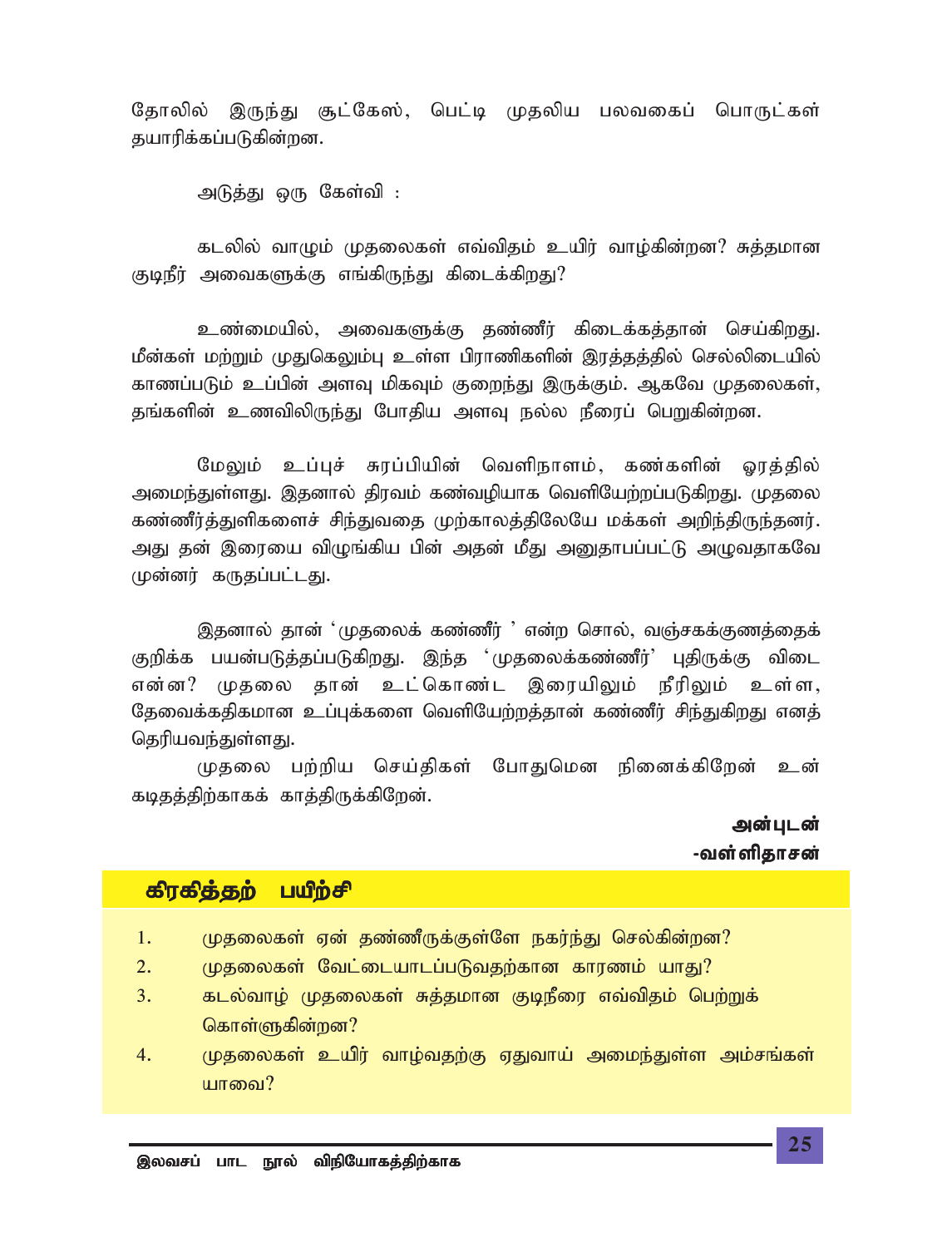கோலில் இருந்து சூட்கேஸ், பெட்டி முதலிய பலவகைப் பொருட்கள் தயாரிக்கப்படுகின்றன.

அடுத்து ஒரு கேள்வி :

கடலில் வாமும் முதலைகள் எவ்விதம் உயிர் வாம்கின்றன? சுத்தமான குடிநீர் அவைகளுக்கு எங்கிருந்து கிடைக்கிறது?

உண்மையில், அவைகளுக்கு தண்ணீர் கிடைக்கத்தான் செய்கிறது. மீன்கள் மற்றும் முதுகெலும்பு உள்ள பிராணிகளின் இரக்கக்கில் செல்லிடையில் காணப்படும் உப்பின் அளவு மிகவும் குறைந்து இருக்கும். ஆகவே முதலைகள், தங்களின் உணவிலிருந்து போதிய அளவு நல்ல நீரைப் பெறுகின்றன.

மேலும் உப்புச் சுரப்பியின் வெளிநாளம், கண்களின் ஓரத்தில் அமைந்துள்ளது. இதனால் திரவம் கண்வமியாக வெளியேற்றப்படுகிறது. முதலை கண்ணீர்த்துளிகளைச் சிந்துவதை முற்காலத்திலேயே மக்கள் அறிந்திருந்தனர். அது தன் இரையை விழுங்கிய பின் அதன் மீது அனுதாபப்பட்டு அழுவதாகவே முன்னர் கருதப்பட்டது.

இதனால் தான் 'முதலைக் கண்ணீர் ' என்ற சொல், வஞ்சகக்குணத்தைக் குறிக்க பயன்படுத்தப்படுகிறது. இந்த 'முதலைக்கண்ணீர்' புதிருக்கு விடை என்ன? முகலை கான் உட்கொண்ட இரையிலும் நீரிலும் உள்ள, தேவைக்கதிகமான உப்புக்களை வெளியேற்றத்தான் கண்ணீர் சிந்துகிறது எனத் தெரியவந்துள்ளது.

முதலை பற்றிய செய்திகள் போதுமென நினைக்கிறேன் உன் கடிதத்திற்காகக் காத்திருக்கிறேன்.

> அன்புடன் -வள்ளிதாசன்

#### பயிற்சி கிரகித்தற்

- 1. முதலைகள் ஏன் தண்ணீருக்குள்ளே நகர்ந்து செல்கின்றன?
- $2.$ முதலைகள் வேட்டையாடப்படுவதற்கான காரணம் யாது?
- $3.$ கடல்வாழ் முதலைகள் சுத்தமான குடிநீரை எவ்விதம் பெற்றுக் கொள்ளுகின்றன?
- முதலைகள் உயிர் வாழ்வதற்கு ஏதுவாய் அமைந்துள்ள அம்சங்கள் 4. யாவை?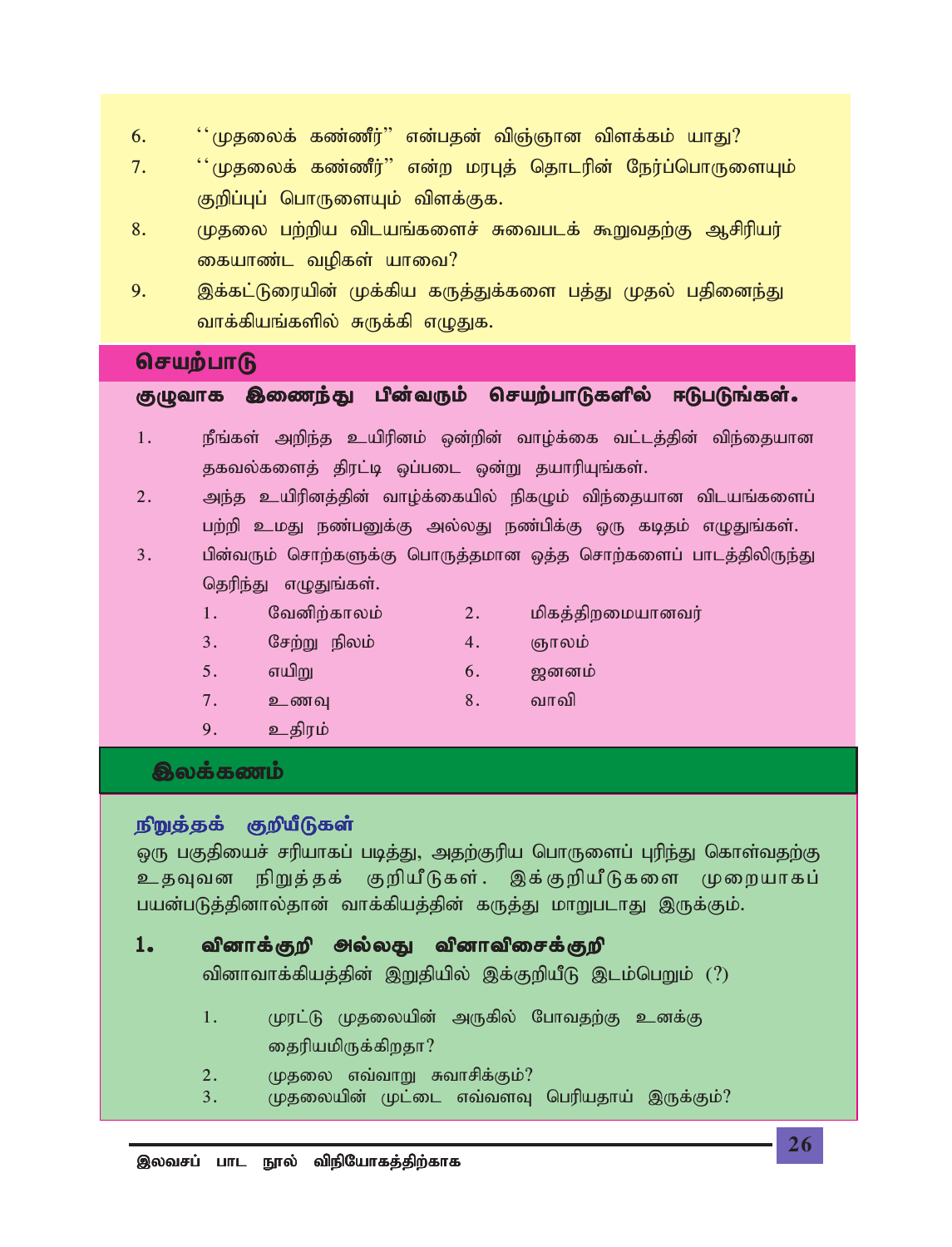- *6. ~~Kjiyf; fz;zPu;|| vd;gjd; tpQ;Qhd tpsf;fk; ahJ?*
- *7. ~~Kjiyf; fz;zPu;|| vd;w kuGj; njhlupd; Neu;g;nghUisAk;* குறிப்புப் பொருளையும் விளக்குக.
- 8. *(*ழதலை பற்றிய விடயங்களைச் சுவைபடக் கூறுவதற்கு ஆசிரியர் கையாண்ட வழிகள் யாவை?
- 9. இக்கட்டுரையின் முக்கிய கருத்துக்களை பத்து முதல் பதினைந்து <u>வாக்கியங்களில் சுருக்கி எழுதுக.</u>

### **செயற்பாடு**

குழுவாக இணைந்து பின்வரும் செயற்பாடுகளில் ஈடுபடுங்கள்.

- 1. நீங்கள் அறிந்த உயிரினம் ஒன்றின் வாழ்க்கை வட்டத்தின் விந்தையான தகவல்களைத் திரட்டி ஒப்படை ஒன்று தயாரியுங்கள்.
- *2. me;j capupdj;jpd; tho;f;ifapy; epfOk; tpe;ijahd tplaq;fisg;* பற்றி உமது நண்பனுக்கு அல்லது நண்பிக்கு ஒரு கடிதம் எழுதுங்கள்.
- *3. gpd;tUk; nrhw;fSf;F nghUj;jkhd xj;j nrhw;fisg; ghlj;jpypUe;J* தெரிந்து எழுதுங்கள்.
	- *1. Ntdpw;fhyk; 2. kpfj;jpwikahdtu;*
	- *3. Nrw;W epyk; 4. Qhyk;*
	- *5.**a***யிறு 6. ஜனனம்**
	- *7. czT 8. thtp*
- 
- 
- 

9. உதிரம்

## **திலக்கணம்**

### *epWj;jf; FwpaPLfs; epWj;jf; FwpaPLfs;*

ஒரு பகுதியைச் சரியாகப் படித்து, அதற்குரிய பொருளைப் புரிந்து கொள்வதற்கு உதவுவன நிறுத்தக் குறியீடுகள். இக்குறியீடுகளை முறையாகப் பயன்படுத்தினால்தான் வாக்கியத்தின் கருத்து மாறுபடாது இருக்கும்.

### 1. வினாக்குறி **அல்லது வினாவிசைக்குறி**

வினாவாக்கியத்தின் இறுதியில் இக்குறியீடு இடம்பெறும் (?)

- 1. *பு*ரட்டு முதலையின் அருகில் போவதற்கு உனக்கு தைரியமிருக்கிறதா?
- 2. *பு*தலை எவ்வாறு சுவாசிக்கும்?
- 3. *புுதலை*யின் முட்டை எவ்வளவு பெரியதாய் இருக்கும்?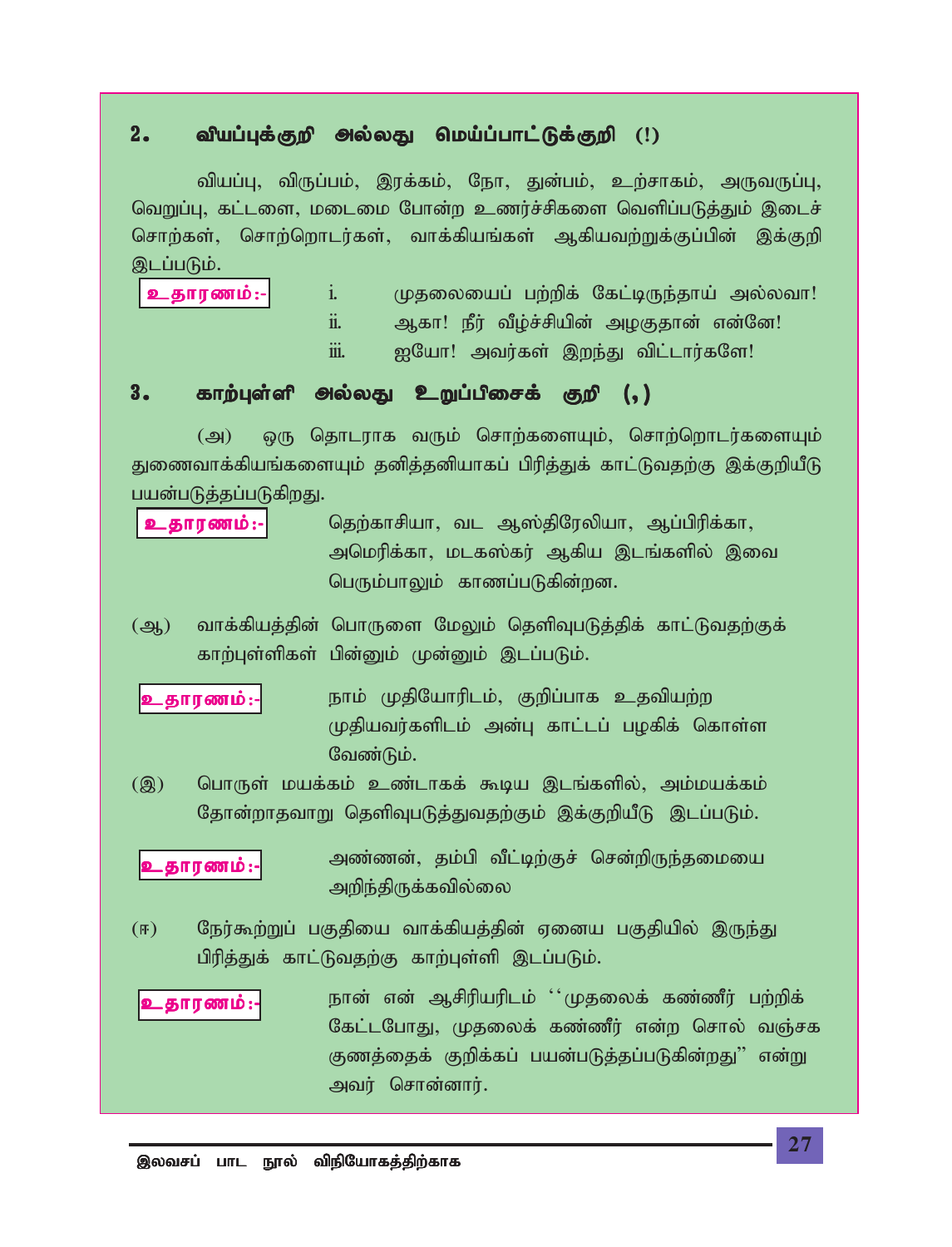#### வியப்புக்குறி அல்லது மெய்ப்பாட்டுக்குறி (!)  $2 -$

வியப்பு, விருப்பம், இரக்கம், நோ, துன்பம், உற்சாகம், அருவருப்பு, வெறுப்பு, கட்டளை, மடைமை போன்ற உணர்ச்சிகளை வெளிப்படுத்தும் இடைச் சொற்கள், சொற்றொடர்கள், வாக்கியங்கள் ஆகியவற்றுக்குப்பின் இக்குறி இடப்படும்.

- உதாரணம்:- $\mathbf{i}$ . முதலையைப் பற்றிக் கேட்டிருந்தாய் அல்லவா!  $\dddot{\mathbf{n}}$ . ஆகா! நீர் வீழ்ச்சியின் அழகுதான் என்னே!
	- ஐயோ! அவர்கள் இறந்து விட்டார்களே! iii.
	-

#### காற்புள்ளி அல்லது உறுப்பிசைக் குறி (, )  $3.$

ஒரு தொடராக வரும் சொற்களையும், சொற்றொடர்களையும்  $(\bigoplus)$ துணைவாக்கியங்களையும் தனித்தனியாகப் பிரித்துக் காட்டுவதற்கு இக்குறியீடு பயன்படுத்தப்படுகிறது.

- தெற்காசியா, வட ஆஸ்திரேலியா, ஆப்பிரிக்கா, உதாரணம்:-அமெரிக்கா, மடகஸ்கர் ஆகிய இடங்களில் இவை பெரும்பாலும் காணப்படுகின்றன.
- வாக்கியத்தின் பொருளை மேலும் தெளிவுபடுத்திக் காட்டுவதற்குக்  $\overline{(\mathcal{A})}$ காற்புள்ளிகள் பின்னும் முன்னும் இடப்படும்.
- நாம் முதியோரிடம், குறிப்பாக உதவியற்ற உதாரணம்:-முதியவர்களிடம் அன்பு காட்டப் பழகிக் கொள்ள வேண்டும்.
- பொருள் மயக்கம் உண்டாகக் கூடிய இடங்களில், அம்மயக்கம்  $(2)$ தோன்றாதவாறு தெளிவுபடுத்துவதற்கும் இக்குறியீடு இடப்படும்.

அண்ணன், தம்பி வீட்டிற்குச் சென்றிருந்தமையை .தாரணம்:-அறிந்திருக்கவில்லை

 $(F)$ நேர்கூற்றுப் பகுதியை வாக்கியத்தின் ஏனைய பகுதியில் இருந்து பிரித்துக் காட்டுவதற்கு காற்புள்ளி இடப்படும்.

நான் என் ஆசிரியரிடம் ''முதலைக் கண்ணீர் பற்றிக் உதாரணம்:-கேட்டபோது, முதலைக் கண்ணீர் என்ற சொல் வஞ்சக குணத்தைக் குறிக்கப் பயன்படுத்தப்படுகின்றது'' என்று அவர் சொன்னார்.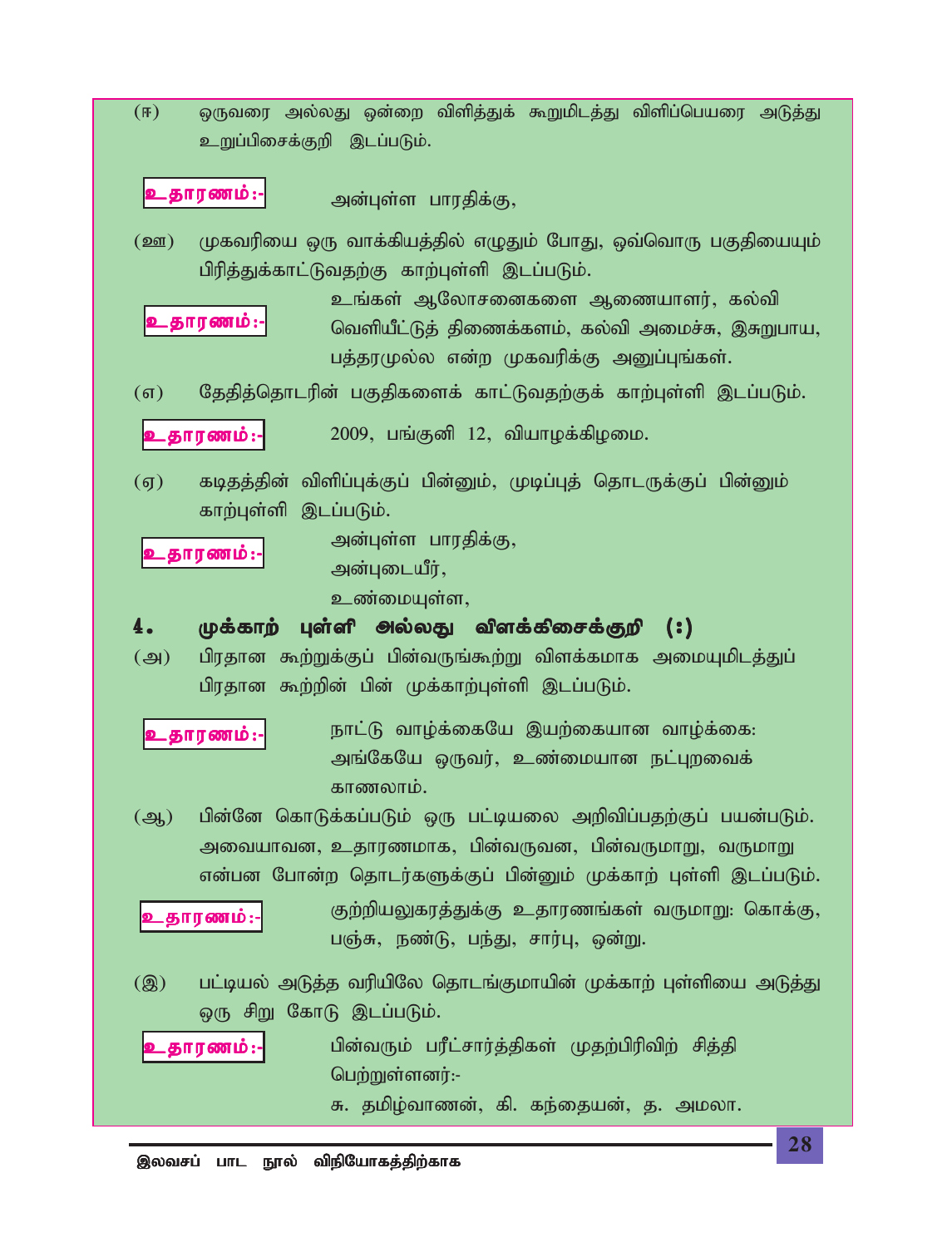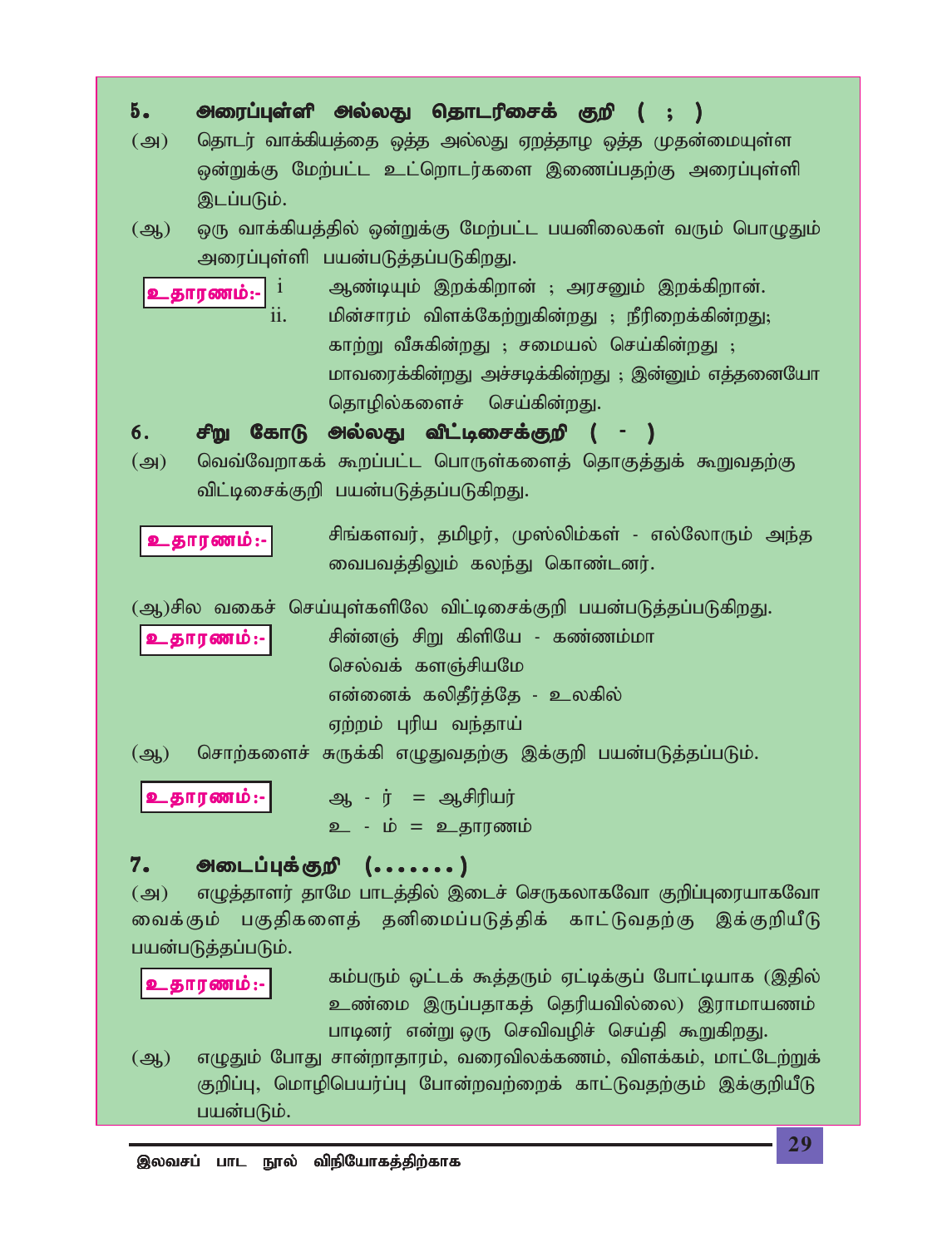*5 . miug;Gs;sp my;yJ njhlupirf; Fwp ( @ ) (m) njhlu; thf;fpajij ; xj;j my;yJ Vwj;jho xj;j Kjd;ikAs;s xd;Wf;F Nkw;gl;l cl;nwhlu;fis ,izg;gjw;F miug;Gs;sp ,lg;gLk;. (M) xU thf;fpaj;jpy; xd;Wf;F Nkw;gl;l gadpiyfs; tUk; nghOJk; miug;Gs;sp gad;gLj;jg;gLfpwJ.* i *Mz;bAk; ,wf;fpwhd; @ murDk; ,wf;fpwhd;.* ii*. kpd;rhuk; tpsf;Nfw;Wfpd;wJ @ ePupiwf;fpd;wJ@ fhw;W tPRfpd;wJ @ rikay; nra;fpd;wJ @ khtiuf;fpd;wJ mr;rbf;fpd;wJ @ ,d;Dk; vj;jidNah njhopy;fisr; nra;fpd;wJ. 6 . rpW NfhL my;yJ tpl;birf;Fwp ( - )* (*m) ntt;Ntwhff; \$wg;gl;l nghUs;fisj; njhFj;Jf; \$Wtjw;F tpl;birf;Fwp gad;gLj;jg;gLfpwJ. rpq;fstu;> jkpou;> K];ypk;fs; - vy;NyhUk; me;j itgtj;jpYk; fye;J nfhz;ldu;. (M)rpy tifr; nra;As;fspNy tpl;birf;Fwp gad;gLj;jg;gLfpwJ. rpd;dQ; rpW fpspNa - fz;zk;kh nry;tf; fsQ;rpaNk vd;idf; fypjPu;j;Nj - cyfpy; Vw;wk; Gupa te;jha;* (*M) nrhw;fisr; RUf;fp vOJtjw;F ,f;Fwp gad;gLj;jg;gLk;. M - u;* = *Mrpupau; c - k;* = *cjhuzk; 7. milg;Gf;Fwp (.......) (m) vOj;jhsu; jhNk ghlj;jpy; ,ilr; nrUfyhfNth Fwpg;GiuahfNth itf;Fk; gFjpfisj; jdpikg;gLj;jpf; fhl;Ltjw;F ,f;FwpaPL gad;gLj;jg;gLk;. fk;gUk; xl;lf; \$j;jUk; Vl;bf;Fg; Nghl;bahf (,jpy; cz;ik ,Ug;gjhfj; njupatpy;iy) ,uhkhazk; ghbdu; vd;W xU nrtptopr; nra;jp \$WfpwJ. (M) vOJk; NghJ rhd;whjhuk;> tiutpyf;fzk;> tpsf;fk;> khl;Nlw;Wf; Fwpg;G> nkhopngau;g;G Nghd;wtw;iwf; fhl;Ltjw;Fk; ,f;FwpaPL cjhuzk;: cjhuzk;: cjhuzk;: cjhuzk;: cjhuzk;:-*

்<u>பயன்படும்.</u>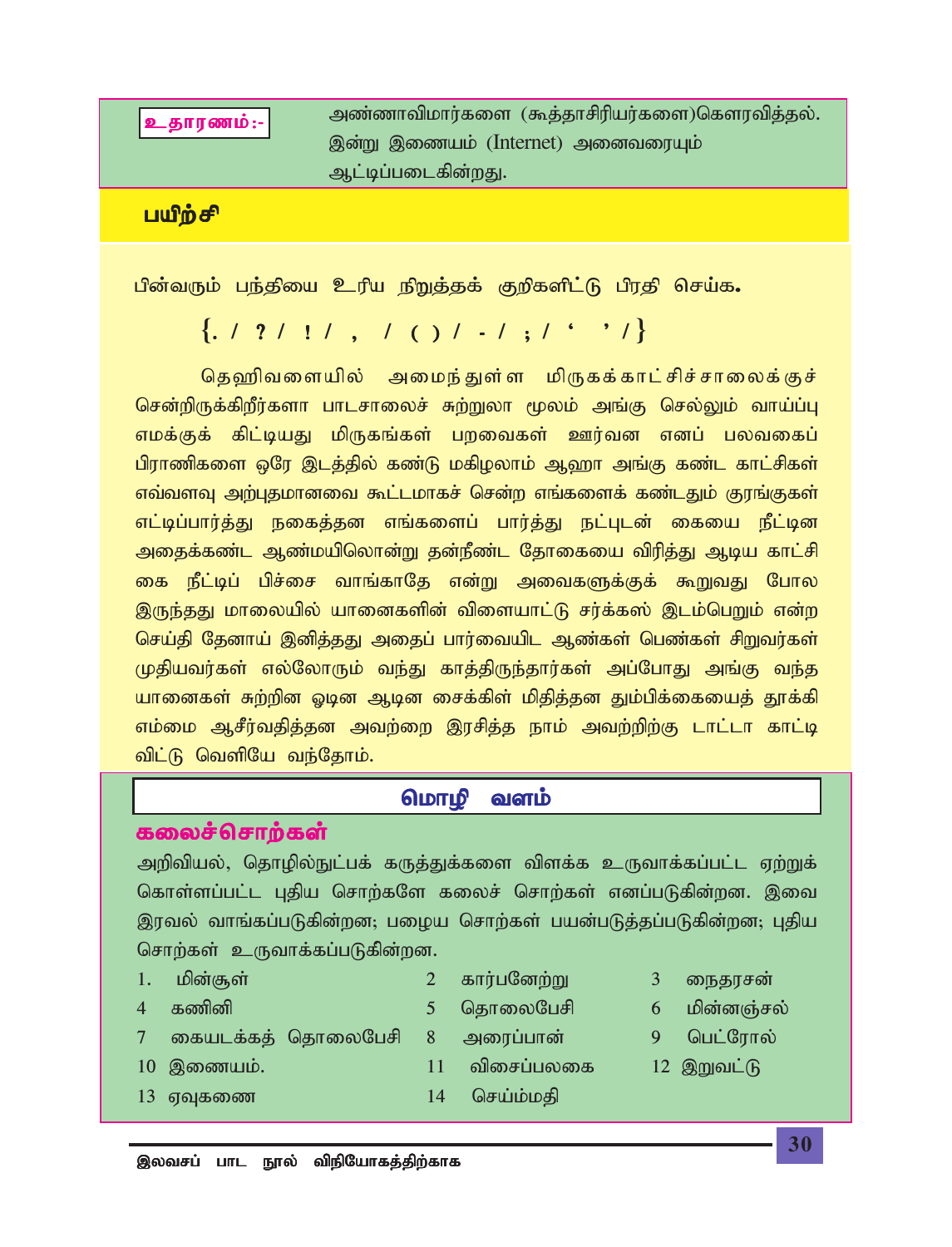உதாரணம்:-

அண்ணாவிமார்களை (கூத்தாசிரியர்களை)கௌரவித்தல். இன்று இணையம் (Internet) அனைவரையும் ஆட்டிப்படைகின்றது.

பயிற்சி

பின்வரும் பந்தியை உரிய நிறுத்தக் குறிகளிட்டு பிரதி செய்க**.** 

 $\{.\; / \; ? \; / \; ! \; / \; , \; / \; () \; / \; - \; / \; ; \; / \; . \; ' \; \; \}$ 

தெஹிவளையில் அமைந்துள்ள மிருகக்காட்சிச்சாலைக்குச் சென்றிருக்கிறீர்களா பாடசாலைச் சுற்றுலா மூலம் அங்கு செல்லும் வாய்ப்பு எமக்குக் கிட்டியது மிருகங்கள் பறவைகள் ஊர்வன எனப் பலவகைப் பிராணிகளை ஒரே இடத்தில் கண்டு மகிழலாம் ஆஹா அங்கு கண்ட காட்சிகள் எவ்வளவு அற்புதமானவை கூட்டமாகச் சென்ற எங்களைக் கண்டதும் குரங்குகள் எட்டிப்பார்த்து நகைத்தன எங்களைப் பார்த்து நட்புடன் கையை நீட்டின அதைக்கண்ட ஆண்மயிலொன்று தன்நீண்ட தோகையை விரித்து ஆடிய காட்சி கை நீட்டிப் பிச்சை வாங்காதே என்று அவைகளுக்குக் கூறுவது போல <u>இருந்தது</u> மாலையில் யானைகளின் விளையாட்டு சர்க்கஸ் இடம்பெறும் என்ற செய்தி தேனாய் இனித்தது அதைப் பார்வையிட ஆண்கள் பெண்கள் சிறுவர்கள் முதியவர்கள் எல்லோரும் வந்து காத்திருந்தார்கள் அப்போது அங்கு வந்த யானைகள் சுற்றின ஓடின ஆடின சைக்கிள் மிதித்தன தும்பிக்கையைத் தூக்கி எம்மை ஆசீர்வதித்தன அவற்றை இரசித்த நாம் அவற்றிற்கு டாட்டா காட்டி <u>விட்டு வெளியே வந்தோம்.</u>

### **மொழி வளம்**

### கலைச்சொற்கள்

அறிவியல், தொழில்நுட்பக் கருத்துக்களை விளக்க உருவாக்கப்பட்ட ஏற்றுக் கொள்ளப்பட்ட புதிய சொற்களே கலைச் சொற்கள் எனப்படுகின்றன. இவை இரவல் வாங்கப்படுகின்றன; பழைய சொற்கள் பயன்படுத்தப்படுகின்றன; புதிய சொற்கள் உருவாக்கப்படுகின்றன.

- 
- 
- 
- *7 ifalf;fj; njhiyNgrp 8 miug;ghd; 9 ngl;Nuhy;*
- *10 ,izak;. 11 tpirg;gyif 12 ,Wtl;L*
- -
- *13 VTfiz 14 nra;k;kjp*
- இலவசப் பாட நூல் விநியோகத்திற்காக
- 1. மின்சூள் 2 கார்பனேற்று 3 கைதரசன்
- 4 கணினி *5* தொலைபேசி 6 மின்னஞ்சல்
	-
	-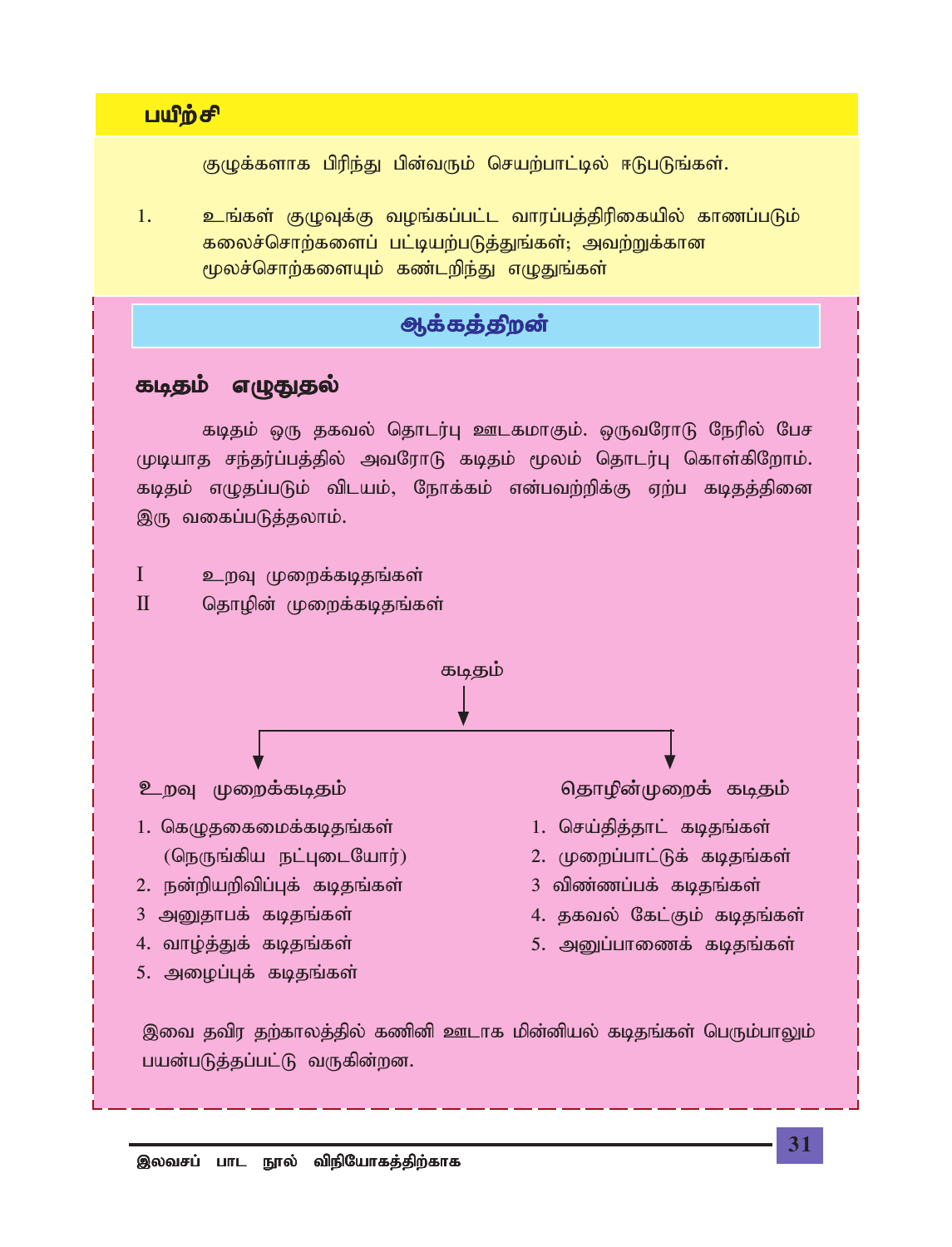### **பயிற்சி**

குழுக்களாக பிரிந்து பின்வரும் செயற்பாட்டில் ஈடுபடுங்கள்.

*1. cq;fs; FOTf;F toq;fg;gl;l thug;gj;jpupifapy; fhzg;gLk;* கலைச்சொற்களைப் பட்டியற்படுத்துங்கள்; அவற்றுக்கான மூலச்சொற்களையும் கண்டறிந்து எழுதுங்கள்

# **ஆக்கத்திறன்**

### கடிதம் எழுதுதல்

கடிதம் ஒரு தகவல் தொடர்பு ஊடகமாகும். ஒருவரோடு நேரில் பேச முடியாத சந்தர்ப்பத்தில் அவரோடு கடிதம் மூலம் தொடர்பு கொள்கிறோம். கடிதம் எழுதப்படும் விடயம், நோக்கம் என்பவற்றிக்கு ஏற்ப கடிதத்தினை இரு வகைப்படுத்தலாம்.

 $I$  *உ*றவு முறைக்கடிதங்கள்

II *njhopd; Kiwf;fbjq;fs;*

 *fbjk; cwT Kiwf;fbjk; njhopd;Kiwf; fbjk;* 1. கெழுதகைமைக்கடிதங்கள் *(*நெருங்கிய நட்புடையோர்) 2. நன்றியறிவிப்புக் கடிதங்கள் 3 அறுதாபக் கடிதங்கள் 4. வாழ்த்துக் கடிதங்கள் 5. அழைப்புக் கடிதங்கள் 1. செய்தித்தாட் கடிதங்கள் 2. முறைப்பாட்டுக் கடிதங்கள் 3 விண்ணப்பக் கடிதங்கள் 4. தகவல் கேட்கும் கடிதங்கள் 5. அனுப்பாணைக் கடிதங்கள்

இவை தவிர தற்காலத்தில் கணினி ஊடாக மின்னியல் கடிதங்கள் பெரும்ப<u>ாலு</u>ம் பயன்படுத்தப்பட்டு வருகின்றன.